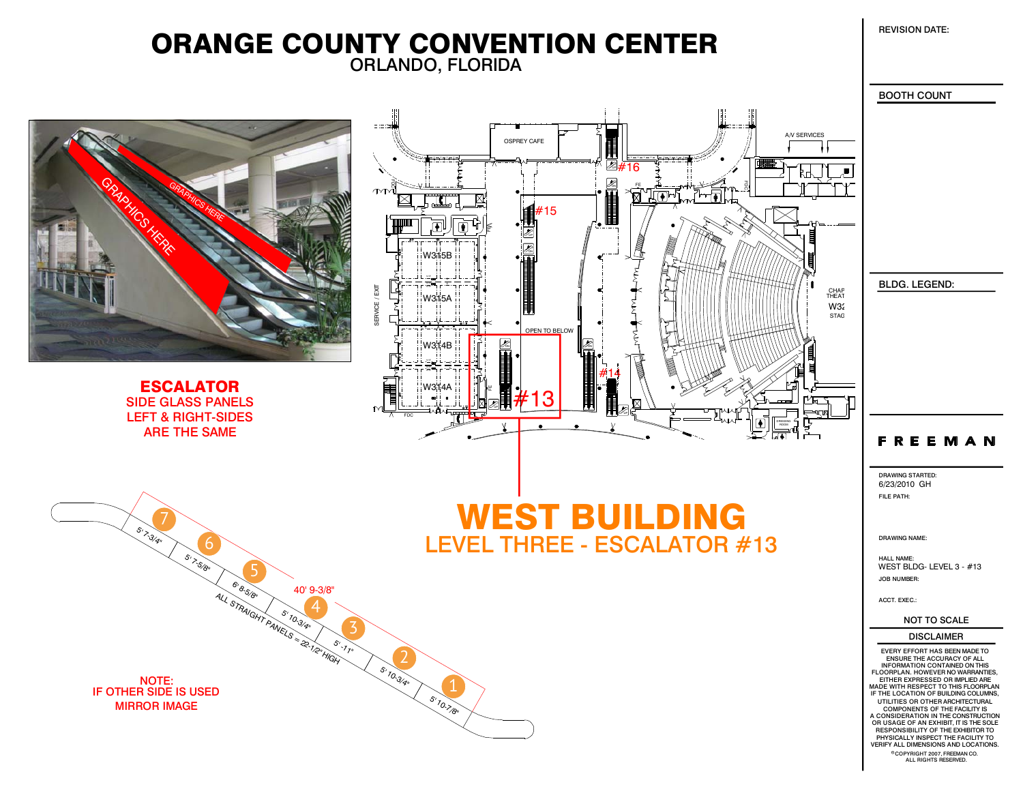REVISION DATE:

## ORLANDO, FLORIDA ORANGE COUNTY CONVENTION CENTER